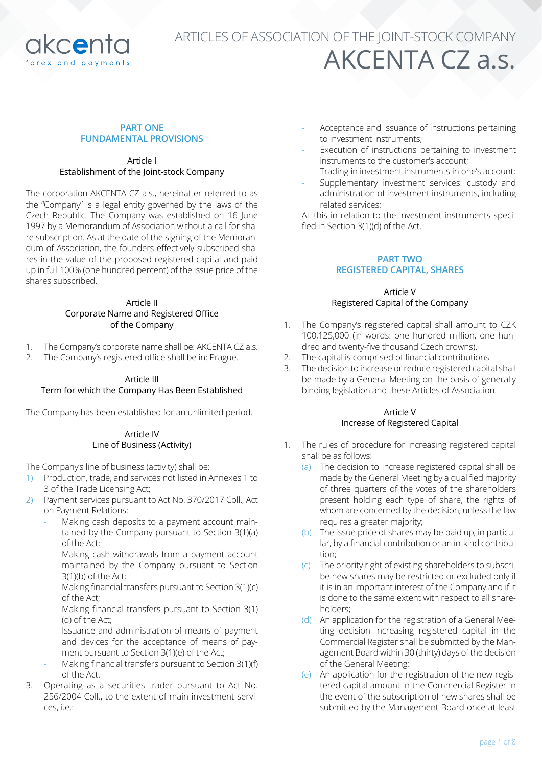

# ARTICLES OF ASSOCIATION OF THE JOINT-STOCK COMPANY AKCENTA CZ a.s.

#### **PART ONE FUNDAMENTAL PROVISIONS**

## Article I Establishment of the Joint-stock Company

The corporation AKCENTA CZ a.s., hereinafter referred to as the "Company" is a legal entity governed by the laws of the Czech Republic. The Company was established on 16 June 1997 by a Memorandum of Association without a call for share subscription. As at the date of the signing of the Memorandum of Association, the founders effectively subscribed shares in the value of the proposed registered capital and paid up in full 100% (one hundred percent) of the issue price of the shares subscribed.

#### Article II Corporate Name and Registered Office of the Company

- 1. The Company's corporate name shall be: AKCENTA CZ a.s.
- 2. The Company's registered office shall be in: Prague.

#### Article III Term for which the Company Has Been Established

The Company has been established for an unlimited period.

#### Article IV Line of Business (Activity)

The Company's line of business (activity) shall be:

- 1) Production, trade, and services not listed in Annexes 1 to 3 of the Trade Licensing Act;
- 2) Payment services pursuant to Act No. 370/2017 Coll., Act on Payment Relations:
	- Making cash deposits to a payment account maintained by the Company pursuant to Section 3(1)(a) of the Act;
	- Making cash withdrawals from a payment account maintained by the Company pursuant to Section 3(1)(b) of the Act;
	- Making financial transfers pursuant to Section 3(1)(c) of the Act;
	- Making financial transfers pursuant to Section 3(1) (d) of the Act;
	- Issuance and administration of means of payment and devices for the acceptance of means of payment pursuant to Section 3(1)(e) of the Act;
	- Making financial transfers pursuant to Section 3(1)(f) of the Act.
- 3. Operating as a securities trader pursuant to Act No. 256/2004 Coll., to the extent of main investment services, i.e.:
- Acceptance and issuance of instructions pertaining to investment instruments;
- Execution of instructions pertaining to investment instruments to the customer's account;
- Trading in investment instruments in one's account;
- Supplementary investment services: custody and administration of investment instruments, including related services;

All this in relation to the investment instruments specified in Section 3(1)(d) of the Act.

#### **PART TWO REGISTERED CAPITAL, SHARES**

# Article V Registered Capital of the Company

- 1. The Company's registered capital shall amount to CZK 100,125,000 (in words: one hundred million, one hundred and twenty-five thousand Czech crowns).
- 2. The capital is comprised of financial contributions.
- 3. The decision to increase or reduce registered capital shall be made by a General Meeting on the basis of generally binding legislation and these Articles of Association.

# Article V Increase of Registered Capital

- 1. The rules of procedure for increasing registered capital shall be as follows:
	- (a) The decision to increase registered capital shall be made by the General Meeting by a qualified majority of three quarters of the votes of the shareholders present holding each type of share, the rights of whom are concerned by the decision, unless the law requires a greater majority;
	- (b) The issue price of shares may be paid up, in particular, by a financial contribution or an in-kind contribution;
	- (c) The priority right of existing shareholders to subscribe new shares may be restricted or excluded only if it is in an important interest of the Company and if it is done to the same extent with respect to all shareholders;
	- (d) An application for the registration of a General Meeting decision increasing registered capital in the Commercial Register shall be submitted by the Management Board within 30 (thirty) days of the decision of the General Meeting;
	- (e) An application for the registration of the new registered capital amount in the Commercial Register in the event of the subscription of new shares shall be submitted by the Management Board once at least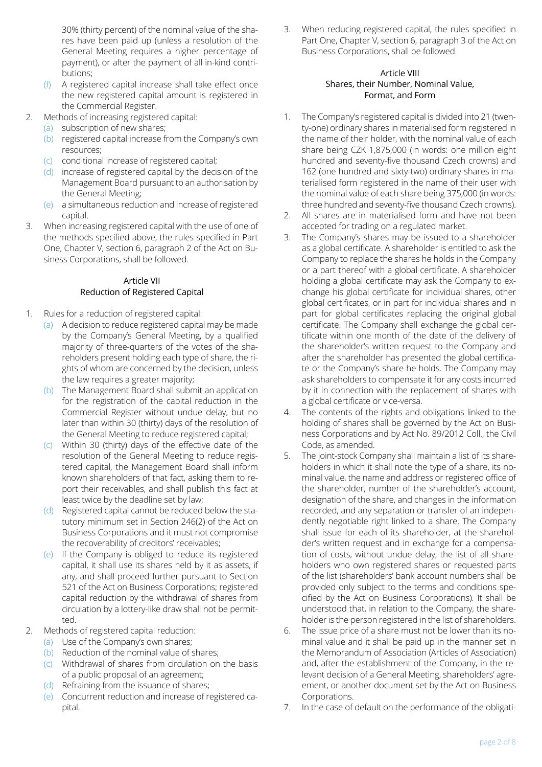30% (thirty percent) of the nominal value of the shares have been paid up (unless a resolution of the General Meeting requires a higher percentage of payment), or after the payment of all in-kind contributions;

- (f) A registered capital increase shall take effect once the new registered capital amount is registered in the Commercial Register.
- 2. Methods of increasing registered capital:
	- (a) subscription of new shares;
	- (b) registered capital increase from the Company's own resources;
	- (c) conditional increase of registered capital;
	- (d) increase of registered capital by the decision of the Management Board pursuant to an authorisation by the General Meeting;
	- (e) a simultaneous reduction and increase of registered capital.
- 3. When increasing registered capital with the use of one of the methods specified above, the rules specified in Part One, Chapter V, section 6, paragraph 2 of the Act on Business Corporations, shall be followed.

# Article VII Reduction of Registered Capital

- 1. Rules for a reduction of registered capital:
	- (a) A decision to reduce registered capital may be made by the Company's General Meeting, by a qualified majority of three-quarters of the votes of the shareholders present holding each type of share, the rights of whom are concerned by the decision, unless the law requires a greater majority;
	- (b) The Management Board shall submit an application for the registration of the capital reduction in the Commercial Register without undue delay, but no later than within 30 (thirty) days of the resolution of the General Meeting to reduce registered capital;
	- (c) Within 30 (thirty) days of the effective date of the resolution of the General Meeting to reduce registered capital, the Management Board shall inform known shareholders of that fact, asking them to report their receivables, and shall publish this fact at least twice by the deadline set by law;
	- (d) Registered capital cannot be reduced below the statutory minimum set in Section 246(2) of the Act on Business Corporations and it must not compromise the recoverability of creditors' receivables;
	- (e) If the Company is obliged to reduce its registered capital, it shall use its shares held by it as assets, if any, and shall proceed further pursuant to Section 521 of the Act on Business Corporations; registered capital reduction by the withdrawal of shares from circulation by a lottery-like draw shall not be permitted.
- 2. Methods of registered capital reduction:
	- (a) Use of the Company's own shares;
	- (b) Reduction of the nominal value of shares;
	- (c) Withdrawal of shares from circulation on the basis of a public proposal of an agreement;
	- (d) Refraining from the issuance of shares;
	- (e) Concurrent reduction and increase of registered capital.

3. When reducing registered capital, the rules specified in Part One, Chapter V, section 6, paragraph 3 of the Act on Business Corporations, shall be followed.

## Article VIII Shares, their Number, Nominal Value, Format, and Form

- 1. The Company's registered capital is divided into 21 (twenty-one) ordinary shares in materialised form registered in the name of their holder, with the nominal value of each share being CZK 1,875,000 (in words: one million eight hundred and seventy-five thousand Czech crowns) and 162 (one hundred and sixty-two) ordinary shares in materialised form registered in the name of their user with the nominal value of each share being 375,000 (in words: three hundred and seventy-five thousand Czech crowns).
- 2. All shares are in materialised form and have not been accepted for trading on a regulated market.
- 3. The Company's shares may be issued to a shareholder as a global certificate. A shareholder is entitled to ask the Company to replace the shares he holds in the Company or a part thereof with a global certificate. A shareholder holding a global certificate may ask the Company to exchange his global certificate for individual shares, other global certificates, or in part for individual shares and in part for global certificates replacing the original global certificate. The Company shall exchange the global certificate within one month of the date of the delivery of the shareholder's written request to the Company and after the shareholder has presented the global certificate or the Company's share he holds. The Company may ask shareholders to compensate it for any costs incurred by it in connection with the replacement of shares with a global certificate or vice-versa.
- 4. The contents of the rights and obligations linked to the holding of shares shall be governed by the Act on Business Corporations and by Act No. 89/2012 Coll., the Civil Code, as amended.
- 5. The joint-stock Company shall maintain a list of its shareholders in which it shall note the type of a share, its nominal value, the name and address or registered office of the shareholder, number of the shareholder's account, designation of the share, and changes in the information recorded, and any separation or transfer of an independently negotiable right linked to a share. The Company shall issue for each of its shareholder, at the shareholder's written request and in exchange for a compensation of costs, without undue delay, the list of all shareholders who own registered shares or requested parts of the list (shareholders' bank account numbers shall be provided only subject to the terms and conditions specified by the Act on Business Corporations). It shall be understood that, in relation to the Company, the shareholder is the person registered in the list of shareholders.
- 6. The issue price of a share must not be lower than its nominal value and it shall be paid up in the manner set in the Memorandum of Association (Articles of Association) and, after the establishment of the Company, in the relevant decision of a General Meeting, shareholders' agreement, or another document set by the Act on Business Corporations.
- 7. In the case of default on the performance of the obligati-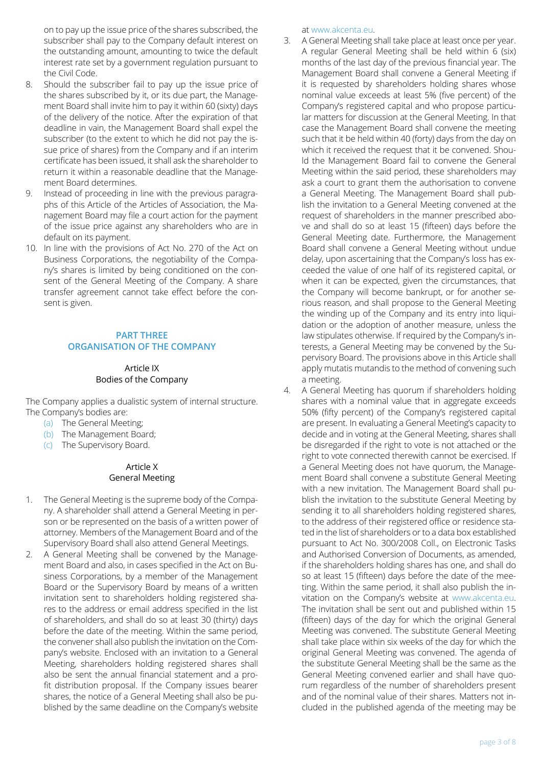on to pay up the issue price of the shares subscribed, the subscriber shall pay to the Company default interest on the outstanding amount, amounting to twice the default interest rate set by a government regulation pursuant to the Civil Code.

- 8. Should the subscriber fail to pay up the issue price of the shares subscribed by it, or its due part, the Management Board shall invite him to pay it within 60 (sixty) days of the delivery of the notice. After the expiration of that deadline in vain, the Management Board shall expel the subscriber (to the extent to which he did not pay the issue price of shares) from the Company and if an interim certificate has been issued, it shall ask the shareholder to return it within a reasonable deadline that the Management Board determines.
- 9. Instead of proceeding in line with the previous paragraphs of this Article of the Articles of Association, the Management Board may file a court action for the payment of the issue price against any shareholders who are in default on its payment.
- 10. In line with the provisions of Act No. 270 of the Act on Business Corporations, the negotiability of the Company's shares is limited by being conditioned on the consent of the General Meeting of the Company. A share transfer agreement cannot take effect before the consent is given.

#### **PART THREE ORGANISATION OF THE COMPANY**

#### Article IX Bodies of the Company

The Company applies a dualistic system of internal structure. The Company's bodies are:

- (a) The General Meeting;
- (b) The Management Board;
- (c) The Supervisory Board.

## Article X General Meeting

- 1. The General Meeting is the supreme body of the Company. A shareholder shall attend a General Meeting in person or be represented on the basis of a written power of attorney. Members of the Management Board and of the Supervisory Board shall also attend General Meetings.
- 2. A General Meeting shall be convened by the Management Board and also, in cases specified in the Act on Business Corporations, by a member of the Management Board or the Supervisory Board by means of a written invitation sent to shareholders holding registered shares to the address or email address specified in the list of shareholders, and shall do so at least 30 (thirty) days before the date of the meeting. Within the same period, the convener shall also publish the invitation on the Company's website. Enclosed with an invitation to a General Meeting, shareholders holding registered shares shall also be sent the annual financial statement and a profit distribution proposal. If the Company issues bearer shares, the notice of a General Meeting shall also be published by the same deadline on the Company's website

at www.akcenta.eu.

- 3. A General Meeting shall take place at least once per year. A regular General Meeting shall be held within 6 (six) months of the last day of the previous financial year. The Management Board shall convene a General Meeting if it is requested by shareholders holding shares whose nominal value exceeds at least 5% (five percent) of the Company's registered capital and who propose particular matters for discussion at the General Meeting. In that case the Management Board shall convene the meeting such that it be held within 40 (forty) days from the day on which it received the request that it be convened. Should the Management Board fail to convene the General Meeting within the said period, these shareholders may ask a court to grant them the authorisation to convene a General Meeting. The Management Board shall publish the invitation to a General Meeting convened at the request of shareholders in the manner prescribed above and shall do so at least 15 (fifteen) days before the General Meeting date. Furthermore, the Management Board shall convene a General Meeting without undue delay, upon ascertaining that the Company's loss has exceeded the value of one half of its registered capital, or when it can be expected, given the circumstances, that the Company will become bankrupt, or for another serious reason, and shall propose to the General Meeting the winding up of the Company and its entry into liquidation or the adoption of another measure, unless the law stipulates otherwise. If required by the Company's interests, a General Meeting may be convened by the Supervisory Board. The provisions above in this Article shall apply mutatis mutandis to the method of convening such a meeting.
- 4. A General Meeting has quorum if shareholders holding shares with a nominal value that in aggregate exceeds 50% (fifty percent) of the Company's registered capital are present. In evaluating a General Meeting's capacity to decide and in voting at the General Meeting, shares shall be disregarded if the right to vote is not attached or the right to vote connected therewith cannot be exercised. If a General Meeting does not have quorum, the Management Board shall convene a substitute General Meeting with a new invitation. The Management Board shall publish the invitation to the substitute General Meeting by sending it to all shareholders holding registered shares, to the address of their registered office or residence stated in the list of shareholders or to a data box established pursuant to Act No. 300/2008 Coll., on Electronic Tasks and Authorised Conversion of Documents, as amended, if the shareholders holding shares has one, and shall do so at least 15 (fifteen) days before the date of the meeting. Within the same period, it shall also publish the invitation on the Company's website at www.akcenta.eu. The invitation shall be sent out and published within 15 (fifteen) days of the day for which the original General Meeting was convened. The substitute General Meeting shall take place within six weeks of the day for which the original General Meeting was convened. The agenda of the substitute General Meeting shall be the same as the General Meeting convened earlier and shall have quorum regardless of the number of shareholders present and of the nominal value of their shares. Matters not included in the published agenda of the meeting may be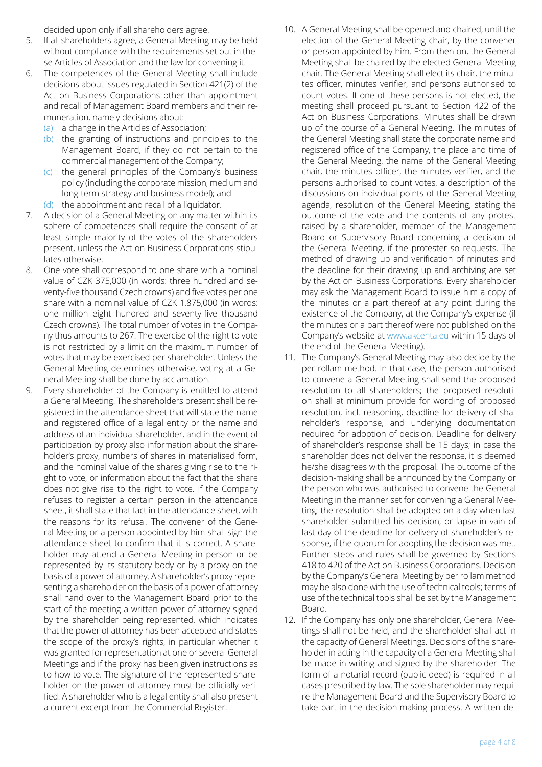decided upon only if all shareholders agree.

- 5. If all shareholders agree, a General Meeting may be held without compliance with the requirements set out in these Articles of Association and the law for convening it.
- 6. The competences of the General Meeting shall include decisions about issues regulated in Section 421(2) of the Act on Business Corporations other than appointment and recall of Management Board members and their remuneration, namely decisions about:
	- (a) a change in the Articles of Association;
	- (b) the granting of instructions and principles to the Management Board, if they do not pertain to the commercial management of the Company;
	- (c) the general principles of the Company's business policy (including the corporate mission, medium and long-term strategy and business model); and
	- (d) the appointment and recall of a liquidator.
- 7. A decision of a General Meeting on any matter within its sphere of competences shall require the consent of at least simple majority of the votes of the shareholders present, unless the Act on Business Corporations stipulates otherwise.
- 8. One vote shall correspond to one share with a nominal value of CZK 375,000 (in words: three hundred and seventy-five thousand Czech crowns) and five votes per one share with a nominal value of CZK 1,875,000 (in words: one million eight hundred and seventy-five thousand Czech crowns). The total number of votes in the Company thus amounts to 267. The exercise of the right to vote is not restricted by a limit on the maximum number of votes that may be exercised per shareholder. Unless the General Meeting determines otherwise, voting at a General Meeting shall be done by acclamation.
- 9. Every shareholder of the Company is entitled to attend a General Meeting. The shareholders present shall be registered in the attendance sheet that will state the name and registered office of a legal entity or the name and address of an individual shareholder, and in the event of participation by proxy also information about the shareholder's proxy, numbers of shares in materialised form, and the nominal value of the shares giving rise to the right to vote, or information about the fact that the share does not give rise to the right to vote. If the Company refuses to register a certain person in the attendance sheet, it shall state that fact in the attendance sheet, with the reasons for its refusal. The convener of the General Meeting or a person appointed by him shall sign the attendance sheet to confirm that it is correct. A shareholder may attend a General Meeting in person or be represented by its statutory body or by a proxy on the basis of a power of attorney. A shareholder's proxy representing a shareholder on the basis of a power of attorney shall hand over to the Management Board prior to the start of the meeting a written power of attorney signed by the shareholder being represented, which indicates that the power of attorney has been accepted and states the scope of the proxy's rights, in particular whether it was granted for representation at one or several General Meetings and if the proxy has been given instructions as to how to vote. The signature of the represented shareholder on the power of attorney must be officially verified. A shareholder who is a legal entity shall also present a current excerpt from the Commercial Register.
- 10. A General Meeting shall be opened and chaired, until the election of the General Meeting chair, by the convener or person appointed by him. From then on, the General Meeting shall be chaired by the elected General Meeting chair. The General Meeting shall elect its chair, the minutes officer, minutes verifier, and persons authorised to count votes. If one of these persons is not elected, the meeting shall proceed pursuant to Section 422 of the Act on Business Corporations. Minutes shall be drawn up of the course of a General Meeting. The minutes of the General Meeting shall state the corporate name and registered office of the Company, the place and time of the General Meeting, the name of the General Meeting chair, the minutes officer, the minutes verifier, and the persons authorised to count votes, a description of the discussions on individual points of the General Meeting agenda, resolution of the General Meeting, stating the outcome of the vote and the contents of any protest raised by a shareholder, member of the Management Board or Supervisory Board concerning a decision of the General Meeting, if the protester so requests. The method of drawing up and verification of minutes and the deadline for their drawing up and archiving are set by the Act on Business Corporations. Every shareholder may ask the Management Board to issue him a copy of the minutes or a part thereof at any point during the existence of the Company, at the Company's expense (if the minutes or a part thereof were not published on the Company's website at www.akcenta.eu within 15 days of the end of the General Meeting).
- 11. The Company's General Meeting may also decide by the per rollam method. In that case, the person authorised to convene a General Meeting shall send the proposed resolution to all shareholders; the proposed resolution shall at minimum provide for wording of proposed resolution, incl. reasoning, deadline for delivery of shareholder's response, and underlying documentation required for adoption of decision. Deadline for delivery of shareholder's response shall be 15 days; in case the shareholder does not deliver the response, it is deemed he/she disagrees with the proposal. The outcome of the decision-making shall be announced by the Company or the person who was authorised to convene the General Meeting in the manner set for convening a General Meeting; the resolution shall be adopted on a day when last shareholder submitted his decision, or lapse in vain of last day of the deadline for delivery of shareholder's response, if the quorum for adopting the decision was met. Further steps and rules shall be governed by Sections 418 to 420 of the Act on Business Corporations. Decision by the Company's General Meeting by per rollam method may be also done with the use of technical tools; terms of use of the technical tools shall be set by the Management Board.
- 12. If the Company has only one shareholder, General Meetings shall not be held, and the shareholder shall act in the capacity of General Meetings. Decisions of the shareholder in acting in the capacity of a General Meeting shall be made in writing and signed by the shareholder. The form of a notarial record (public deed) is required in all cases prescribed by law. The sole shareholder may require the Management Board and the Supervisory Board to take part in the decision-making process. A written de-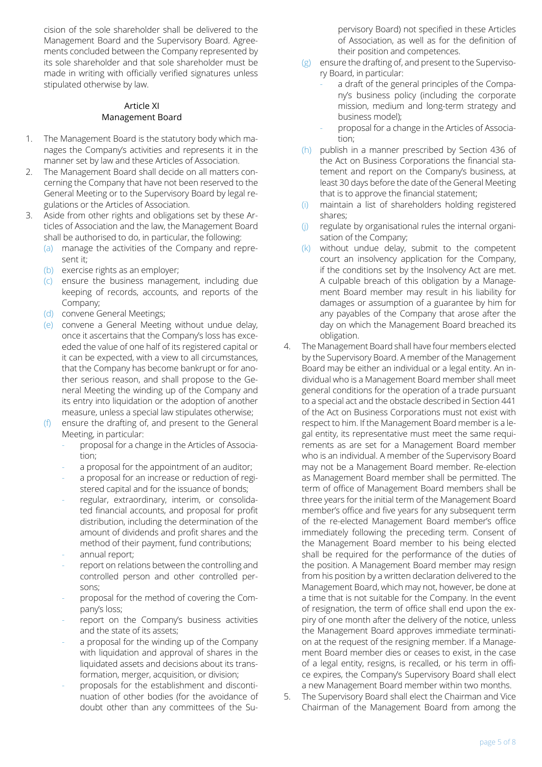cision of the sole shareholder shall be delivered to the Management Board and the Supervisory Board. Agreements concluded between the Company represented by its sole shareholder and that sole shareholder must be made in writing with officially verified signatures unless stipulated otherwise by law.

## Article XI Management Board

- 1. The Management Board is the statutory body which manages the Company's activities and represents it in the manner set by law and these Articles of Association.
- 2. The Management Board shall decide on all matters concerning the Company that have not been reserved to the General Meeting or to the Supervisory Board by legal regulations or the Articles of Association.
- 3. Aside from other rights and obligations set by these Articles of Association and the law, the Management Board shall be authorised to do, in particular, the following:
	- (a) manage the activities of the Company and represent it;
	- (b) exercise rights as an employer;
	- (c) ensure the business management, including due keeping of records, accounts, and reports of the Company;
	- (d) convene General Meetings;
	- (e) convene a General Meeting without undue delay, once it ascertains that the Company's loss has exceeded the value of one half of its registered capital or it can be expected, with a view to all circumstances, that the Company has become bankrupt or for another serious reason, and shall propose to the General Meeting the winding up of the Company and its entry into liquidation or the adoption of another measure, unless a special law stipulates otherwise;
	- (f) ensure the drafting of, and present to the General Meeting, in particular:
		- proposal for a change in the Articles of Association;
		- a proposal for the appointment of an auditor;
		- a proposal for an increase or reduction of registered capital and for the issuance of bonds;
		- regular, extraordinary, interim, or consolidated financial accounts, and proposal for profit distribution, including the determination of the amount of dividends and profit shares and the method of their payment, fund contributions;
		- annual report;
		- report on relations between the controlling and controlled person and other controlled persons;
		- proposal for the method of covering the Company's loss;
		- report on the Company's business activities and the state of its assets;
		- a proposal for the winding up of the Company with liquidation and approval of shares in the liquidated assets and decisions about its transformation, merger, acquisition, or division;
		- proposals for the establishment and discontinuation of other bodies (for the avoidance of doubt other than any committees of the Su-

pervisory Board) not specified in these Articles of Association, as well as for the definition of their position and competences.

- (g) ensure the drafting of, and present to the Supervisory Board, in particular:
	- a draft of the general principles of the Company's business policy (including the corporate mission, medium and long-term strategy and business model);
	- proposal for a change in the Articles of Association;
- (h) publish in a manner prescribed by Section 436 of the Act on Business Corporations the financial statement and report on the Company's business, at least 30 days before the date of the General Meeting that is to approve the financial statement;
- (i) maintain a list of shareholders holding registered shares;
- (j) regulate by organisational rules the internal organisation of the Company;
- (k) without undue delay, submit to the competent court an insolvency application for the Company, if the conditions set by the Insolvency Act are met. A culpable breach of this obligation by a Management Board member may result in his liability for damages or assumption of a guarantee by him for any payables of the Company that arose after the day on which the Management Board breached its obligation.
- 4. The Management Board shall have four members elected by the Supervisory Board. A member of the Management Board may be either an individual or a legal entity. An individual who is a Management Board member shall meet general conditions for the operation of a trade pursuant to a special act and the obstacle described in Section 441 of the Act on Business Corporations must not exist with respect to him. If the Management Board member is a legal entity, its representative must meet the same requirements as are set for a Management Board member who is an individual. A member of the Supervisory Board may not be a Management Board member. Re-election as Management Board member shall be permitted. The term of office of Management Board members shall be three years for the initial term of the Management Board member's office and five years for any subsequent term of the re-elected Management Board member's office immediately following the preceding term. Consent of the Management Board member to his being elected shall be required for the performance of the duties of the position. A Management Board member may resign from his position by a written declaration delivered to the Management Board, which may not, however, be done at a time that is not suitable for the Company. In the event of resignation, the term of office shall end upon the expiry of one month after the delivery of the notice, unless the Management Board approves immediate termination at the request of the resigning member. If a Management Board member dies or ceases to exist, in the case of a legal entity, resigns, is recalled, or his term in office expires, the Company's Supervisory Board shall elect a new Management Board member within two months.
- 5. The Supervisory Board shall elect the Chairman and Vice Chairman of the Management Board from among the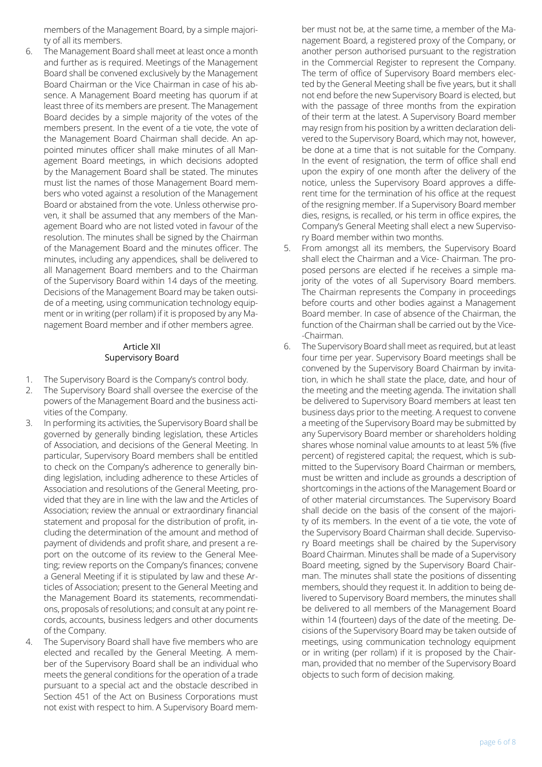members of the Management Board, by a simple majority of all its members.

6. The Management Board shall meet at least once a month and further as is required. Meetings of the Management Board shall be convened exclusively by the Management Board Chairman or the Vice Chairman in case of his absence. A Management Board meeting has quorum if at least three of its members are present. The Management Board decides by a simple majority of the votes of the members present. In the event of a tie vote, the vote of the Management Board Chairman shall decide. An appointed minutes officer shall make minutes of all Management Board meetings, in which decisions adopted by the Management Board shall be stated. The minutes must list the names of those Management Board members who voted against a resolution of the Management Board or abstained from the vote. Unless otherwise proven, it shall be assumed that any members of the Management Board who are not listed voted in favour of the resolution. The minutes shall be signed by the Chairman of the Management Board and the minutes officer. The minutes, including any appendices, shall be delivered to all Management Board members and to the Chairman of the Supervisory Board within 14 days of the meeting. Decisions of the Management Board may be taken outside of a meeting, using communication technology equipment or in writing (per rollam) if it is proposed by any Management Board member and if other members agree.

#### Article XII Supervisory Board

- 1. The Supervisory Board is the Company's control body.
- 2. The Supervisory Board shall oversee the exercise of the powers of the Management Board and the business activities of the Company.
- 3. In performing its activities, the Supervisory Board shall be governed by generally binding legislation, these Articles of Association, and decisions of the General Meeting. In particular, Supervisory Board members shall be entitled to check on the Company's adherence to generally binding legislation, including adherence to these Articles of Association and resolutions of the General Meeting, provided that they are in line with the law and the Articles of Association; review the annual or extraordinary financial statement and proposal for the distribution of profit, including the determination of the amount and method of payment of dividends and profit share, and present a report on the outcome of its review to the General Meeting; review reports on the Company's finances; convene a General Meeting if it is stipulated by law and these Articles of Association; present to the General Meeting and the Management Board its statements, recommendations, proposals of resolutions; and consult at any point records, accounts, business ledgers and other documents of the Company.
- 4. The Supervisory Board shall have five members who are elected and recalled by the General Meeting. A member of the Supervisory Board shall be an individual who meets the general conditions for the operation of a trade pursuant to a special act and the obstacle described in Section 451 of the Act on Business Corporations must not exist with respect to him. A Supervisory Board mem-

ber must not be, at the same time, a member of the Management Board, a registered proxy of the Company, or another person authorised pursuant to the registration in the Commercial Register to represent the Company. The term of office of Supervisory Board members elected by the General Meeting shall be five years, but it shall not end before the new Supervisory Board is elected, but with the passage of three months from the expiration of their term at the latest. A Supervisory Board member may resign from his position by a written declaration delivered to the Supervisory Board, which may not, however, be done at a time that is not suitable for the Company. In the event of resignation, the term of office shall end upon the expiry of one month after the delivery of the notice, unless the Supervisory Board approves a different time for the termination of his office at the request of the resigning member. If a Supervisory Board member dies, resigns, is recalled, or his term in office expires, the Company's General Meeting shall elect a new Supervisory Board member within two months.

- 5. From amongst all its members, the Supervisory Board shall elect the Chairman and a Vice- Chairman. The proposed persons are elected if he receives a simple majority of the votes of all Supervisory Board members. The Chairman represents the Company in proceedings before courts and other bodies against a Management Board member. In case of absence of the Chairman, the function of the Chairman shall be carried out by the Vice- -Chairman.
- 6. The Supervisory Board shall meet as required, but at least four time per year. Supervisory Board meetings shall be convened by the Supervisory Board Chairman by invitation, in which he shall state the place, date, and hour of the meeting and the meeting agenda. The invitation shall be delivered to Supervisory Board members at least ten business days prior to the meeting. A request to convene a meeting of the Supervisory Board may be submitted by any Supervisory Board member or shareholders holding shares whose nominal value amounts to at least 5% (five percent) of registered capital; the request, which is submitted to the Supervisory Board Chairman or members, must be written and include as grounds a description of shortcomings in the actions of the Management Board or of other material circumstances. The Supervisory Board shall decide on the basis of the consent of the majority of its members. In the event of a tie vote, the vote of the Supervisory Board Chairman shall decide. Supervisory Board meetings shall be chaired by the Supervisory Board Chairman. Minutes shall be made of a Supervisory Board meeting, signed by the Supervisory Board Chairman. The minutes shall state the positions of dissenting members, should they request it. In addition to being delivered to Supervisory Board members, the minutes shall be delivered to all members of the Management Board within 14 (fourteen) days of the date of the meeting. Decisions of the Supervisory Board may be taken outside of meetings, using communication technology equipment or in writing (per rollam) if it is proposed by the Chairman, provided that no member of the Supervisory Board objects to such form of decision making.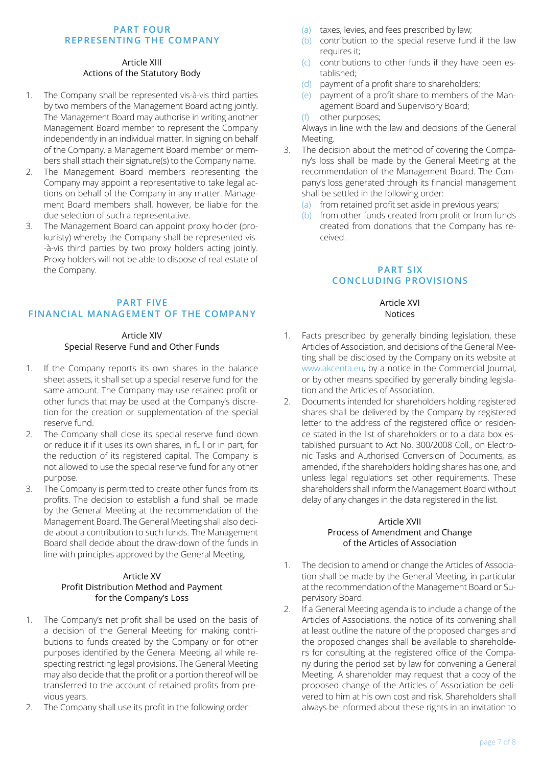# **PART FOUR REPRESENTING THE COMPANY**

# Article XIII Actions of the Statutory Body

- 1. The Company shall be represented vis-à-vis third parties by two members of the Management Board acting jointly. The Management Board may authorise in writing another Management Board member to represent the Company independently in an individual matter. In signing on behalf of the Company, a Management Board member or members shall attach their signature(s) to the Company name.
- 2. The Management Board members representing the Company may appoint a representative to take legal actions on behalf of the Company in any matter. Management Board members shall, however, be liable for the due selection of such a representative.
- 3. The Management Board can appoint proxy holder (prokuristy) whereby the Company shall be represented vis- -à-vis third parties by two proxy holders acting jointly. Proxy holders will not be able to dispose of real estate of the Company.

# **PART FIVE FINANCIAL MANAGEMENT OF THE COMPANY**

# Article XIV Special Reserve Fund and Other Funds

- 1. If the Company reports its own shares in the balance sheet assets, it shall set up a special reserve fund for the same amount. The Company may use retained profit or other funds that may be used at the Company's discretion for the creation or supplementation of the special reserve fund.
- 2. The Company shall close its special reserve fund down or reduce it if it uses its own shares, in full or in part, for the reduction of its registered capital. The Company is not allowed to use the special reserve fund for any other purpose.
- 3. The Company is permitted to create other funds from its profits. The decision to establish a fund shall be made by the General Meeting at the recommendation of the Management Board. The General Meeting shall also decide about a contribution to such funds. The Management Board shall decide about the draw-down of the funds in line with principles approved by the General Meeting.

## Article XV Profit Distribution Method and Payment for the Company's Loss

- 1. The Company's net profit shall be used on the basis of a decision of the General Meeting for making contributions to funds created by the Company or for other purposes identified by the General Meeting, all while respecting restricting legal provisions. The General Meeting may also decide that the profit or a portion thereof will be transferred to the account of retained profits from previous years.
- 2. The Company shall use its profit in the following order:
- (a) taxes, levies, and fees prescribed by law;
- (b) contribution to the special reserve fund if the law requires it;
- (c) contributions to other funds if they have been established;
- (d) payment of a profit share to shareholders;
- (e) payment of a profit share to members of the Management Board and Supervisory Board;
- (f) other purposes;

Always in line with the law and decisions of the General Meeting.

- 3. The decision about the method of covering the Company's loss shall be made by the General Meeting at the recommendation of the Management Board. The Company's loss generated through its financial management shall be settled in the following order:
	- (a) from retained profit set aside in previous years;
	- (b) from other funds created from profit or from funds created from donations that the Company has received.

# **PART SIX CONCLUDING PROVISIONS**

Article XVI Notices

- 1. Facts prescribed by generally binding legislation, these Articles of Association, and decisions of the General Meeting shall be disclosed by the Company on its website at www.akcenta.eu, by a notice in the Commercial Journal, or by other means specified by generally binding legislation and the Articles of Association.
- 2. Documents intended for shareholders holding registered shares shall be delivered by the Company by registered letter to the address of the registered office or residence stated in the list of shareholders or to a data box established pursuant to Act No. 300/2008 Coll., on Electronic Tasks and Authorised Conversion of Documents, as amended, if the shareholders holding shares has one, and unless legal regulations set other requirements. These shareholders shall inform the Management Board without delay of any changes in the data registered in the list.

## Article XVII Process of Amendment and Change of the Articles of Association

- 1. The decision to amend or change the Articles of Association shall be made by the General Meeting, in particular at the recommendation of the Management Board or Supervisory Board.
- 2. If a General Meeting agenda is to include a change of the Articles of Associations, the notice of its convening shall at least outline the nature of the proposed changes and the proposed changes shall be available to shareholders for consulting at the registered office of the Company during the period set by law for convening a General Meeting. A shareholder may request that a copy of the proposed change of the Articles of Association be delivered to him at his own cost and risk. Shareholders shall always be informed about these rights in an invitation to